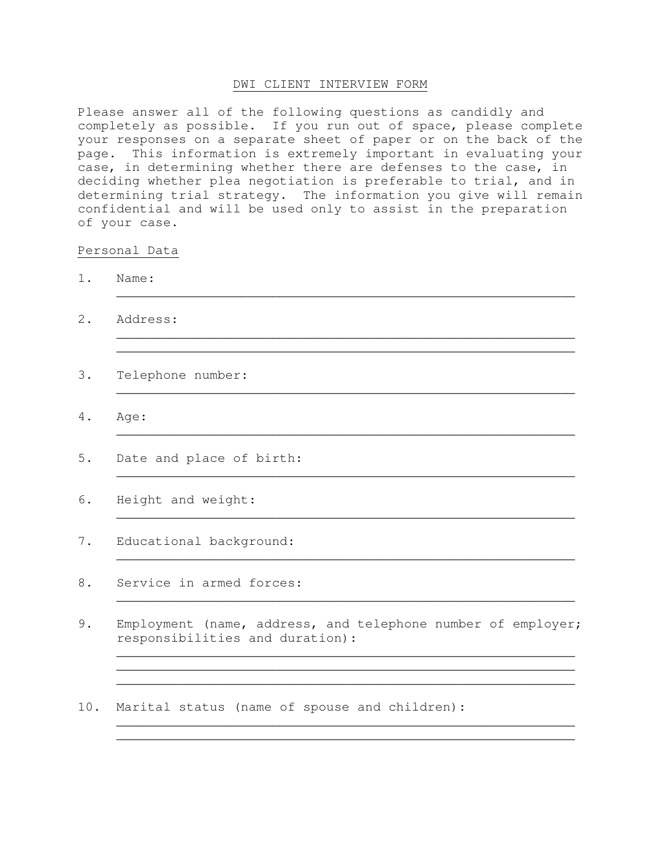# DWI CLIENT INTERVIEW FORM

Please answer all of the following questions as candidly and completely as possible. If you run out of space, please complete your responses on a separate sheet of paper or on the back of the page. This information is extremely important in evaluating your case, in determining whether there are defenses to the case, in deciding whether plea negotiation is preferable to trial, and in determining trial strategy. The information you give will remain confidential and will be used only to assist in the preparation of your case.

 $\overline{\phantom{a}}$  , and the contract of the contract of the contract of the contract of the contract of the contract of the contract of the contract of the contract of the contract of the contract of the contract of the contrac

 $\overline{\phantom{a}}$  , and the contribution of the contribution of the contribution of the contribution of the contribution of  $\overline{\phantom{a}}$  $\overline{\phantom{a}}$  , and the contract of the contract of the contract of the contract of the contract of the contract of the contract of the contract of the contract of the contract of the contract of the contract of the contrac

 $\overline{\phantom{a}}$  , and the contribution of the contribution of the contribution of the contribution of the contribution of  $\overline{\phantom{a}}$ 

 $\overline{\phantom{a}}$  , and the contract of the contract of the contract of the contract of the contract of the contract of the contract of the contract of the contract of the contract of the contract of the contract of the contrac

 $\overline{\phantom{a}}$  , and the contribution of the contribution of the contribution of the contribution of the contribution of  $\overline{\phantom{a}}$ 

 $\overline{\phantom{a}}$  , and the contract of the contract of the contract of the contract of the contract of the contract of the contract of the contract of the contract of the contract of the contract of the contract of the contrac

 $\overline{\phantom{a}}$  , and the contract of the contract of the contract of the contract of the contract of the contract of the contract of the contract of the contract of the contract of the contract of the contract of the contrac  $\overline{\phantom{a}}$  , and the contribution of the contribution of the contribution of the contribution of the contribution of  $\overline{\phantom{a}}$  $\overline{\phantom{a}}$  , and the contribution of the contribution of the contribution of the contribution of the contribution of  $\overline{\phantom{a}}$ 

 $\overline{\phantom{a}}$  , and the contribution of the contribution of the contribution of the contribution of the contribution of  $\overline{\phantom{a}}$ 

 $\mathcal{L}_\text{max}$  , and the contract of the contract of the contract of the contract of the contract of the contract of the contract of the contract of the contract of the contract of the contract of the contract of the contr

#### Personal Data

- 1. Name:
- 2. Address:
- 3. Telephone number:
- 4. Age:  $\overline{\phantom{a}}$  , and the contribution of the contribution of the contribution of the contribution of the contribution of  $\overline{\phantom{a}}$
- 5. Date and place of birth:
- 6. Height and weight:
- 7. Educational background:
- 8. Service in armed forces:
- 9. Employment (name, address, and telephone number of employer; responsibilities and duration):
- 10. Marital status (name of spouse and children):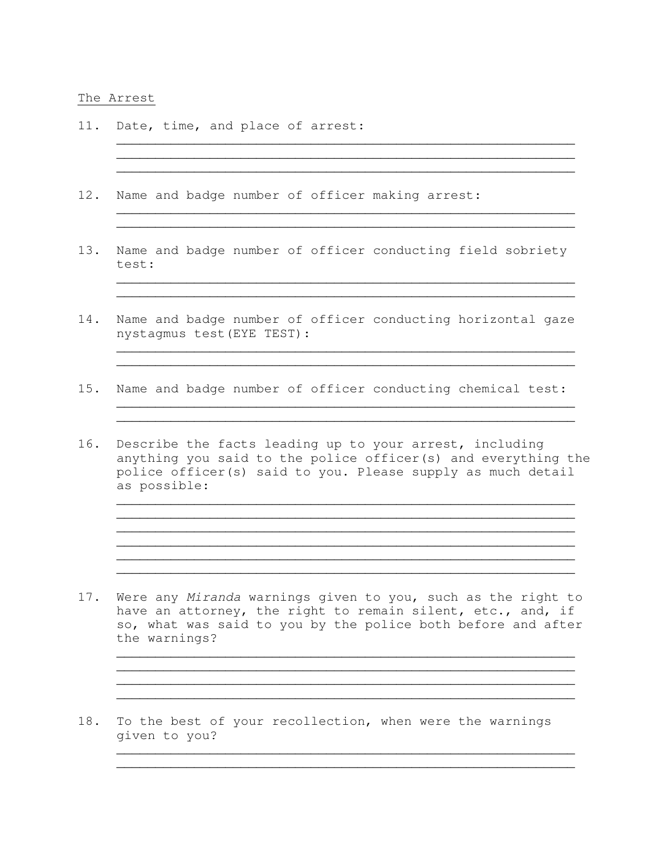### The Arrest

- 11. Date, time, and place of arrest:
- 12. Name and badge number of officer making arrest:
- 13. Name and badge number of officer conducting field sobriety test:

 $\mathcal{L}_\text{max}$  , and the set of the set of the set of the set of the set of the set of the set of the set of the set of the set of the set of the set of the set of the set of the set of the set of the set of the set of the  $\mathcal{L}_\text{max}$  , and the contribution of the contribution of the contribution of the contribution of the contribution of the contribution of the contribution of the contribution of the contribution of the contribution of t

\_\_\_\_\_\_\_\_\_\_\_\_\_\_\_\_\_\_\_\_\_\_\_\_\_\_\_\_\_\_\_\_\_\_\_\_\_\_\_\_\_\_\_\_\_\_\_\_\_\_\_\_\_\_\_\_\_\_\_  $\mathcal{L}_\text{G}$  , and the set of the set of the set of the set of the set of the set of the set of the set of the set of the set of the set of the set of the set of the set of the set of the set of the set of the set of the

 $\overline{\phantom{a}}$  , and the contribution of the contribution of the contribution of the contribution of the contribution of  $\overline{\phantom{a}}$  $\overline{\phantom{a}}$  , and the contract of the contract of the contract of the contract of the contract of the contract of the contract of the contract of the contract of the contract of the contract of the contract of the contrac

14. Name and badge number of officer conducting horizontal gaze nystagmus test(EYE TEST):

 $\overline{\phantom{a}}$  , and the contribution of the contribution of the contribution of the contribution of the contribution of the contribution of the contribution of the contribution of the contribution of the contribution of the  $\overline{\phantom{a}}$  , and the contract of the contract of the contract of the contract of the contract of the contract of the contract of the contract of the contract of the contract of the contract of the contract of the contrac

\_\_\_\_\_\_\_\_\_\_\_\_\_\_\_\_\_\_\_\_\_\_\_\_\_\_\_\_\_\_\_\_\_\_\_\_\_\_\_\_\_\_\_\_\_\_\_\_\_\_\_\_\_\_\_\_\_\_\_  $\overline{\phantom{a}}$  , and the contract of the contract of the contract of the contract of the contract of the contract of the contract of the contract of the contract of the contract of the contract of the contract of the contrac

- 15. Name and badge number of officer conducting chemical test:
- 16. Describe the facts leading up to your arrest, including anything you said to the police officer(s) and everything the police officer(s) said to you. Please supply as much detail as possible:

 $\overline{\phantom{a}}$  , and the contribution of the contribution of the contribution of the contribution of the contribution of  $\overline{\phantom{a}}$  $\overline{\phantom{a}}$  , and the contribution of the contribution of the contribution of the contribution of the contribution of the contribution of the contribution of the contribution of the contribution of the contribution of the  $\overline{\phantom{a}}$  , and the contribution of the contribution of the contribution of the contribution of the contribution of the contribution of the contribution of the contribution of the contribution of the contribution of the  $\overline{\phantom{a}}$  , and the contribution of the contribution of the contribution of the contribution of the contribution of  $\overline{\phantom{a}}$  $\overline{\phantom{a}}$  , and the contribution of the contribution of the contribution of the contribution of the contribution of the contribution of the contribution of the contribution of the contribution of the contribution of the  $\overline{\phantom{a}}$  , and the contribution of the contribution of the contribution of the contribution of the contribution of  $\overline{\phantom{a}}$ 

17. Were any Miranda warnings given to you, such as the right to have an attorney, the right to remain silent, etc., and, if so, what was said to you by the police both before and after the warnings?

 $\overline{\phantom{a}}$  , and the contract of the contract of the contract of the contract of the contract of the contract of the contract of the contract of the contract of the contract of the contract of the contract of the contrac  $\mathcal{L}_\text{max}$  , and the contribution of the contribution of the contribution of the contribution of the contribution of the contribution of the contribution of the contribution of the contribution of the contribution of t  $\overline{\phantom{a}}$  , and the contribution of the contribution of the contribution of the contribution of the contribution of  $\overline{\phantom{a}}$ 

 $\overline{\phantom{a}}$  , and the contract of the contract of the contract of the contract of the contract of the contract of the contract of the contract of the contract of the contract of the contract of the contract of the contrac  $\overline{\phantom{a}}$  , and the contract of the contract of the contract of the contract of the contract of the contract of the contract of the contract of the contract of the contract of the contract of the contract of the contrac

18. To the best of your recollection, when were the warnings given to you?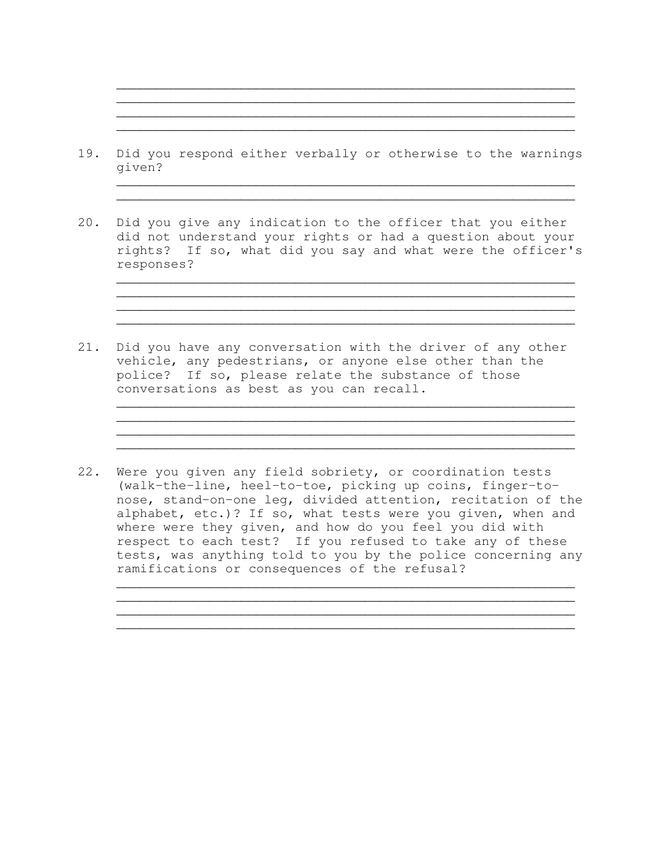19. Did you respond either verbally or otherwise to the warnings given?

 $\overline{\phantom{a}}$  , and the contribution of the contribution of the contribution of the contribution of the contribution of  $\overline{\phantom{a}}$  $\overline{\phantom{a}}$  , and the contribution of the contribution of the contribution of the contribution of the contribution of  $\overline{\phantom{a}}$  $\overline{\phantom{a}}$  , and the contract of the contract of the contract of the contract of the contract of the contract of the contract of the contract of the contract of the contract of the contract of the contract of the contrac  $\overline{\phantom{a}}$  , and the contract of the contract of the contract of the contract of the contract of the contract of the contract of the contract of the contract of the contract of the contract of the contract of the contrac

 $\overline{\phantom{a}}$  , and the contract of the contract of the contract of the contract of the contract of the contract of the contract of the contract of the contract of the contract of the contract of the contract of the contrac  $\overline{\phantom{a}}$  , and the contribution of the contribution of the contribution of the contribution of the contribution of  $\overline{\phantom{a}}$ 

 $\overline{\phantom{a}}$  , and the contribution of the contribution of the contribution of the contribution of the contribution of  $\overline{\phantom{a}}$  $\overline{\phantom{a}}$  , and the contract of the contract of the contract of the contract of the contract of the contract of the contract of the contract of the contract of the contract of the contract of the contract of the contrac \_\_\_\_\_\_\_\_\_\_\_\_\_\_\_\_\_\_\_\_\_\_\_\_\_\_\_\_\_\_\_\_\_\_\_\_\_\_\_\_\_\_\_\_\_\_\_\_\_\_\_\_\_\_\_\_\_\_\_  $\overline{\phantom{a}}$  , and the contribution of the contribution of the contribution of the contribution of the contribution of  $\overline{\phantom{a}}$ 

 $\overline{\phantom{a}}$  , and the contribution of the contribution of the contribution of the contribution of the contribution of  $\overline{\phantom{a}}$ 

 $\overline{\phantom{a}}$  , and the contract of the contract of the contract of the contract of the contract of the contract of the contract of the contract of the contract of the contract of the contract of the contract of the contrac  $\overline{\phantom{a}}$  , and the contract of the contract of the contract of the contract of the contract of the contract of the contract of the contract of the contract of the contract of the contract of the contract of the contrac  $\mathcal{L}_\text{max}$  , and the contribution of the contribution of the contribution of the contribution of the contribution of the contribution of the contribution of the contribution of the contribution of the contribution of t  $\overline{\phantom{a}}$  , and the contribution of the contribution of the contribution of the contribution of the contribution of  $\overline{\phantom{a}}$ 

- 20. Did you give any indication to the officer that you either did not understand your rights or had a question about your rights? If so, what did you say and what were the officer's responses?
- 21. Did you have any conversation with the driver of any other vehicle, any pedestrians, or anyone else other than the police? If so, please relate the substance of those conversations as best as you can recall.  $\frac{1}{2}$  ,  $\frac{1}{2}$  ,  $\frac{1}{2}$  ,  $\frac{1}{2}$  ,  $\frac{1}{2}$  ,  $\frac{1}{2}$  ,  $\frac{1}{2}$  ,  $\frac{1}{2}$  ,  $\frac{1}{2}$  ,  $\frac{1}{2}$  ,  $\frac{1}{2}$  ,  $\frac{1}{2}$  ,  $\frac{1}{2}$  ,  $\frac{1}{2}$  ,  $\frac{1}{2}$  ,  $\frac{1}{2}$  ,  $\frac{1}{2}$  ,  $\frac{1}{2}$  ,  $\frac{1$
- 22. Were you given any field sobriety, or coordination tests (walk-the-line, heel-to-toe, picking up coins, finger-tonose, stand-on-one leg, divided attention, recitation of the alphabet, etc.)? If so, what tests were you given, when and where were they given, and how do you feel you did with respect to each test? If you refused to take any of these tests, was anything told to you by the police concerning any ramifications or consequences of the refusal?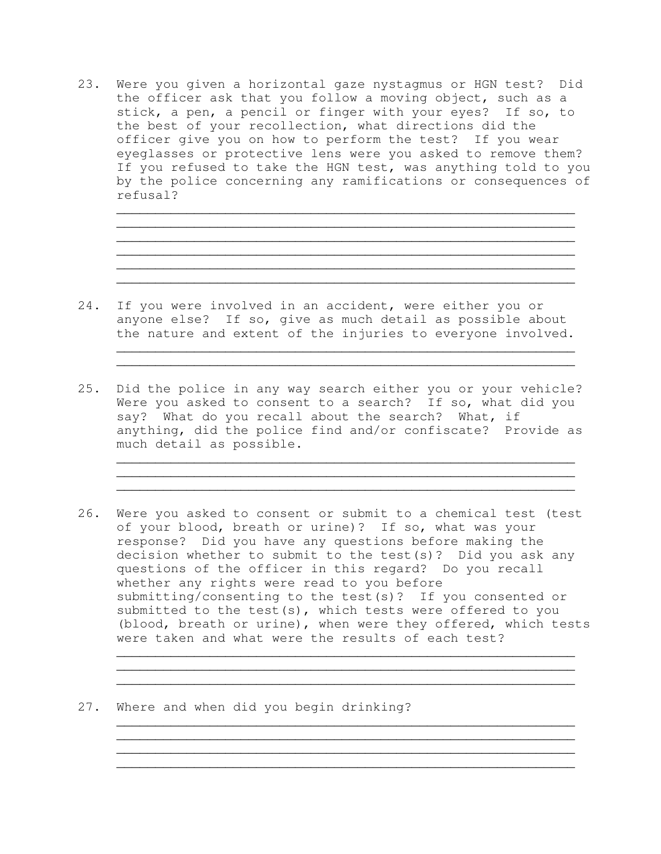23. Were you given a horizontal gaze nystagmus or HGN test? Did the officer ask that you follow a moving object, such as a stick, a pen, a pencil or finger with your eyes? If so, to the best of your recollection, what directions did the officer give you on how to perform the test? If you wear eyeglasses or protective lens were you asked to remove them? If you refused to take the HGN test, was anything told to you by the police concerning any ramifications or consequences of refusal?

 $\overline{\phantom{a}}$  , and the contribution of the contribution of the contribution of the contribution of the contribution of  $\overline{\phantom{a}}$  $\overline{\phantom{a}}$  , and the contribution of the contribution of the contribution of the contribution of the contribution of  $\overline{\phantom{a}}$ 

 $\overline{\phantom{a}}$  , and the contribution of the contribution of the contribution of the contribution of the contribution of  $\overline{\phantom{a}}$  $\overline{\phantom{a}}$  , and the contribution of the contribution of the contribution of the contribution of the contribution of  $\overline{\phantom{a}}$ 

 $\overline{\phantom{a}}$  , and the contribution of the contribution of  $\overline{\phantom{a}}$  $\overline{\phantom{a}}$  , and the contract of the contract of the contract of the contract of the contract of the contract of the contract of the contract of the contract of the contract of the contract of the contract of the contrac

 $\overline{\phantom{a}}$  , and the contract of the contract of the contract of the contract of the contract of the contract of the contract of the contract of the contract of the contract of the contract of the contract of the contrac

 $\overline{\phantom{a}}$  , and the contribution of the contribution of the contribution of the contribution of the contribution of  $\overline{\phantom{a}}$ 

- 24. If you were involved in an accident, were either you or anyone else? If so, give as much detail as possible about the nature and extent of the injuries to everyone involved.
- 25. Did the police in any way search either you or your vehicle? Were you asked to consent to a search? If so, what did you say? What do you recall about the search? What, if anything, did the police find and/or confiscate? Provide as much detail as possible.
- 26. Were you asked to consent or submit to a chemical test (test of your blood, breath or urine)? If so, what was your response? Did you have any questions before making the decision whether to submit to the test(s)? Did you ask any questions of the officer in this regard? Do you recall whether any rights were read to you before submitting/consenting to the test(s)? If you consented or submitted to the test(s), which tests were offered to you (blood, breath or urine), when were they offered, which tests were taken and what were the results of each test?

 $\overline{\phantom{a}}$  , and the contract of the contract of the contract of the contract of the contract of the contract of the contract of the contract of the contract of the contract of the contract of the contract of the contrac \_\_\_\_\_\_\_\_\_\_\_\_\_\_\_\_\_\_\_\_\_\_\_\_\_\_\_\_\_\_\_\_\_\_\_\_\_\_\_\_\_\_\_\_\_\_\_\_\_\_\_\_\_\_\_\_\_\_\_  $\overline{\phantom{a}}$  , and the contribution of the contribution of the contribution of the contribution of the contribution of  $\overline{\phantom{a}}$ 

 $\overline{\phantom{a}}$  , and the contribution of the contribution of the contribution of the contribution of the contribution of  $\overline{\phantom{a}}$  $\overline{\phantom{a}}$  , and the contract of the contract of the contract of the contract of the contract of the contract of the contract of the contract of the contract of the contract of the contract of the contract of the contrac  $\overline{\phantom{a}}$  , and the contract of the contract of the contract of the contract of the contract of the contract of the contract of the contract of the contract of the contract of the contract of the contract of the contrac

27. Where and when did you begin drinking?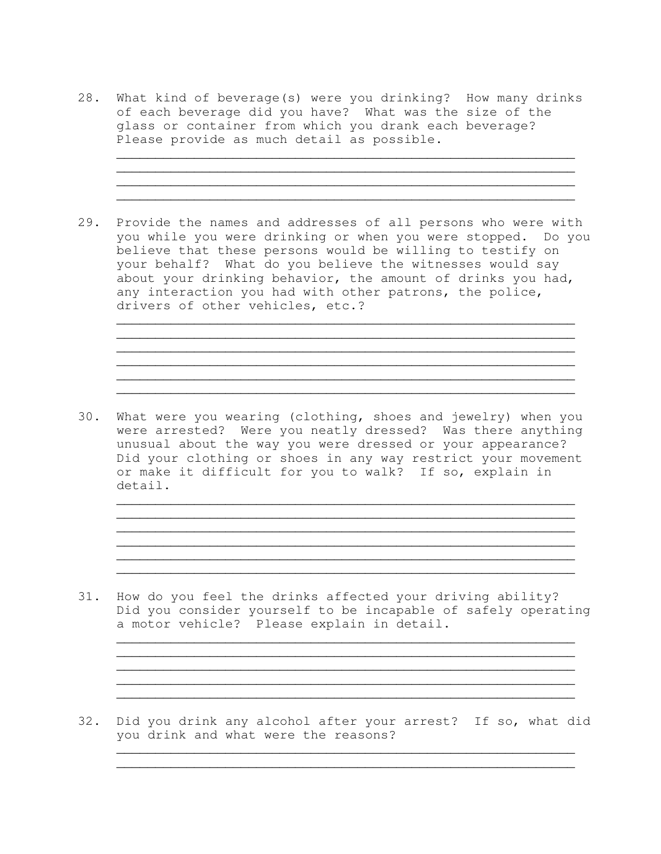28. What kind of beverage(s) were you drinking? How many drinks of each beverage did you have? What was the size of the glass or container from which you drank each beverage? Please provide as much detail as possible.

 $\overline{\phantom{a}}$  , and the contribution of the contribution of the contribution of the contribution of the contribution of  $\overline{\phantom{a}}$ 

 $\overline{\phantom{a}}$  , and the contribution of the contribution of the contribution of the contribution of the contribution of  $\overline{\phantom{a}}$ 

 $\overline{\phantom{a}}$  , and the contribution of the contribution of the contribution of the contribution of the contribution of the contribution of the contribution of the contribution of the contribution of the contribution of the  $\overline{\phantom{a}}$  , and the contract of the contract of the contract of the contract of the contract of the contract of the contract of the contract of the contract of the contract of the contract of the contract of the contrac  $\overline{\phantom{a}}$  , and the contract of the contract of the contract of the contract of the contract of the contract of the contract of the contract of the contract of the contract of the contract of the contract of the contrac

 $\overline{\phantom{a}}$  , and the contribution of the contribution of the contribution of the contribution of the contribution of the contribution of the contribution of the contribution of the contribution of the contribution of the

 $\overline{\phantom{a}}$  , and the contribution of the contribution of the contribution of the contribution of the contribution of  $\overline{\phantom{a}}$  $\overline{\phantom{a}}$  , and the set of the set of the set of the set of the set of the set of the set of the set of the set of the set of the set of the set of the set of the set of the set of the set of the set of the set of the s  $\overline{\phantom{a}}$  , and the contribution of the contribution of the contribution of the contribution of the contribution of the contribution of the contribution of the contribution of the contribution of the contribution of the  $\overline{\phantom{a}}$  , and the contribution of the contribution of the contribution of the contribution of the contribution of the contribution of the contribution of the contribution of the contribution of the contribution of the  $\overline{\phantom{a}}$  , and the contribution of the contribution of the contribution of the contribution of the contribution of  $\overline{\phantom{a}}$ 

- 29. Provide the names and addresses of all persons who were with you while you were drinking or when you were stopped. Do you believe that these persons would be willing to testify on your behalf? What do you believe the witnesses would say about your drinking behavior, the amount of drinks you had, any interaction you had with other patrons, the police, drivers of other vehicles, etc.?  $\overline{\phantom{a}}$  , and the contribution of the contribution of the contribution of the contribution of the contribution of the contribution of the contribution of the contribution of the contribution of the contribution of the
- 30. What were you wearing (clothing, shoes and jewelry) when you were arrested? Were you neatly dressed? Was there anything unusual about the way you were dressed or your appearance? Did your clothing or shoes in any way restrict your movement or make it difficult for you to walk? If so, explain in detail.  $\overline{\phantom{a}}$  , and the contribution of the contribution of the contribution of the contribution of the contribution of the contribution of the contribution of the contribution of the contribution of the contribution of the
- 31. How do you feel the drinks affected your driving ability? Did you consider yourself to be incapable of safely operating a motor vehicle? Please explain in detail.

 $\overline{\phantom{a}}$  , and the contract of the contract of the contract of the contract of the contract of the contract of the contract of the contract of the contract of the contract of the contract of the contract of the contrac

 $\overline{\phantom{a}}$  , and the contribution of the contribution of the contribution of the contribution of the contribution of the contribution of the contribution of the contribution of the contribution of the contribution of the  $\overline{\phantom{a}}$  , and the contribution of the contribution of the contribution of the contribution of the contribution of the contribution of the contribution of the contribution of the contribution of the contribution of the  $\overline{\phantom{a}}$  , and the contract of the contract of the contract of the contract of the contract of the contract of the contract of the contract of the contract of the contract of the contract of the contract of the contrac

32. Did you drink any alcohol after your arrest? If so, what did you drink and what were the reasons?

 $\overline{\phantom{a}}$  , and the contract of the contract of the contract of the contract of the contract of the contract of the contract of the contract of the contract of the contract of the contract of the contract of the contrac  $\overline{\phantom{a}}$  , and the contract of the contract of the contract of the contract of the contract of the contract of the contract of the contract of the contract of the contract of the contract of the contract of the contrac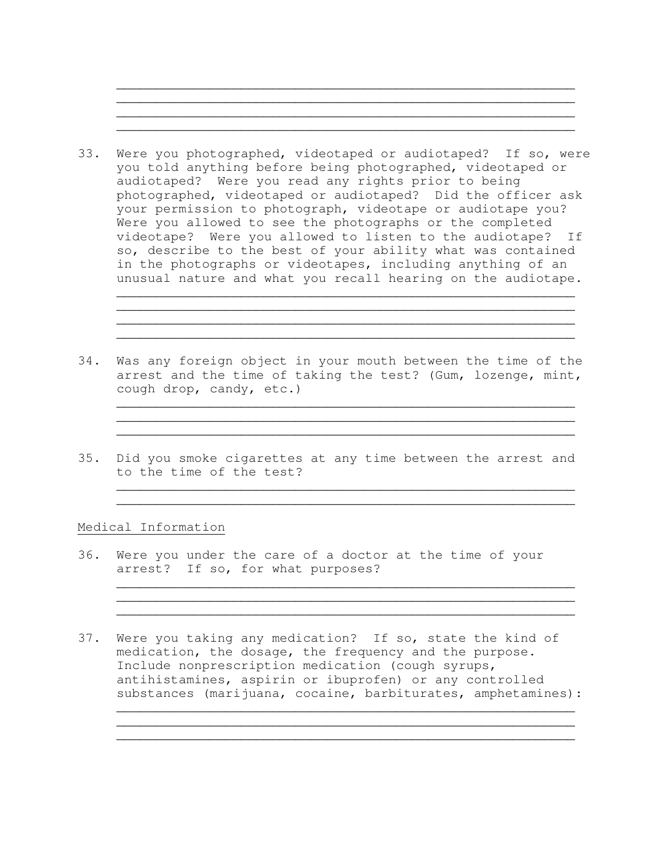

 $\overline{\phantom{a}}$  , and the contribution of the contribution of the contribution of the contribution of the contribution of  $\overline{\phantom{a}}$ 

- 33. Were you photographed, videotaped or audiotaped? If so, were you told anything before being photographed, videotaped or audiotaped? Were you read any rights prior to being photographed, videotaped or audiotaped? Did the officer ask your permission to photograph, videotape or audiotape you? Were you allowed to see the photographs or the completed videotape? Were you allowed to listen to the audiotape? If so, describe to the best of your ability what was contained in the photographs or videotapes, including anything of an unusual nature and what you recall hearing on the audiotape.  $\overline{\phantom{a}}$  , and the contract of the contract of the contract of the contract of the contract of the contract of the contract of the contract of the contract of the contract of the contract of the contract of the contrac
- 34. Was any foreign object in your mouth between the time of the arrest and the time of taking the test? (Gum, lozenge, mint, cough drop, candy, etc.)

 $\mathcal{L}_\text{max}$  , and the contribution of the contribution of  $\mathcal{L}_\text{max}$  $\mathcal{L}_\mathcal{L}$  , and the set of the set of the set of the set of the set of the set of the set of the set of the set of the set of the set of the set of the set of the set of the set of the set of the set of the set of th

 $\overline{\phantom{a}}$  , and the contract of the contract of the contract of the contract of the contract of the contract of the contract of the contract of the contract of the contract of the contract of the contract of the contrac  $\mathcal{L}_\text{max}$  , and the contract of the contract of the contract of the contract of the contract of the contract of

 $\overline{\phantom{a}}$  , and the contribution of the contribution of the contribution of the contribution of the contribution of the contribution of the contribution of the contribution of the contribution of the contribution of the  $\overline{\phantom{a}}$  , and the contribution of the contribution of the contribution of the contribution of the contribution of the contribution of the contribution of the contribution of the contribution of the contribution of the

 $\overline{\phantom{a}}$  , and the contract of the contract of the contract of the contract of the contract of the contract of the contract of the contract of the contract of the contract of the contract of the contract of the contrac  $\overline{\phantom{a}}$  , and the contract of the contract of the contract of the contract of the contract of the contract of the contract of the contract of the contract of the contract of the contract of the contract of the contrac  $\overline{\phantom{a}}$  , and the contribution of the contribution of the contribution of the contribution of the contribution of  $\overline{\phantom{a}}$ 

 $\overline{\phantom{a}}$  , and the contract of the contract of the contract of the contract of the contract of the contract of the contract of the contract of the contract of the contract of the contract of the contract of the contrac  $\mathcal{L}_\mathcal{L}$  , and the contribution of the contribution of the contribution of the contribution of the contribution of the contribution of the contribution of the contribution of the contribution of the contribution of  $\overline{\phantom{a}}$  , and the contribution of the contribution of the contribution of the contribution of the contribution of  $\overline{\phantom{a}}$ 

35. Did you smoke cigarettes at any time between the arrest and to the time of the test?

## Medical Information

- 36. Were you under the care of a doctor at the time of your arrest? If so, for what purposes?
- 37. Were you taking any medication? If so, state the kind of medication, the dosage, the frequency and the purpose. Include nonprescription medication (cough syrups, antihistamines, aspirin or ibuprofen) or any controlled substances (marijuana, cocaine, barbiturates, amphetamines):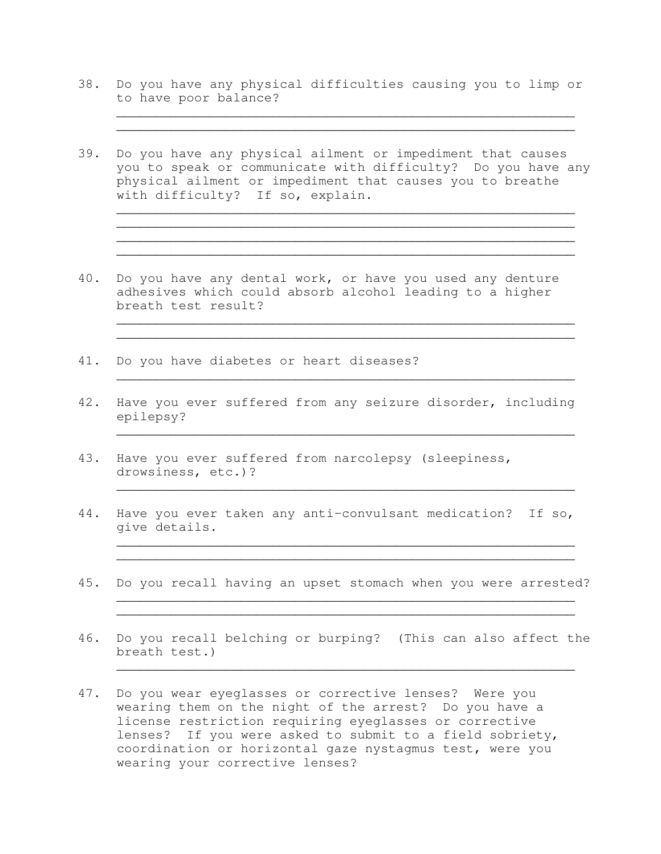38. Do you have any physical difficulties causing you to limp or to have poor balance?

 $\overline{\phantom{a}}$  , and the contract of the contract of the contract of the contract of the contract of the contract of the contract of the contract of the contract of the contract of the contract of the contract of the contrac  $\overline{\phantom{a}}$  , and the contract of the contract of the contract of the contract of the contract of the contract of the contract of the contract of the contract of the contract of the contract of the contract of the contrac

 $\overline{\phantom{a}}$  , and the contribution of the contribution of the contribution of the contribution of the contribution of  $\overline{\phantom{a}}$  $\mathcal{L}_\mathcal{L}$  , and the set of the set of the set of the set of the set of the set of the set of the set of the set of the set of the set of the set of the set of the set of the set of the set of the set of the set of th

 $\overline{\phantom{a}}$  , and the contract of the contract of the contract of the contract of the contract of the contract of the contract of the contract of the contract of the contract of the contract of the contract of the contrac

 $\overline{\phantom{a}}$  , and the contribution of the contribution of the contribution of the contribution of the contribution of  $\overline{\phantom{a}}$  $\overline{\phantom{a}}$  , and the contribution of the contribution of the contribution of the contribution of the contribution of  $\overline{\phantom{a}}$ 

 $\overline{\phantom{a}}$  , and the contribution of the contribution of the contribution of the contribution of the contribution of  $\overline{\phantom{a}}$ 

 $\overline{\phantom{a}}$  , and the contribution of the contribution of the contribution of the contribution of the contribution of  $\overline{\phantom{a}}$ 

 $\overline{\phantom{a}}$  , and the contribution of the contribution of the contribution of the contribution of the contribution of  $\overline{\phantom{a}}$ 

 $\overline{\phantom{a}}$  , and the contribution of the contribution of the contribution of the contribution of the contribution of  $\overline{\phantom{a}}$  $\overline{\phantom{a}}$  , and the contribution of the contribution of the contribution of the contribution of the contribution of  $\overline{\phantom{a}}$ 

 $\mathcal{L}_\text{max}$  , and the contract of the contract of the contract of the contract of the contract of the contract of the contract of the contract of the contract of the contract of the contract of the contract of the contr  $\mathcal{L}_\mathcal{L}$  , and the contribution of the contribution of the contribution of the contribution of the contribution of the contribution of the contribution of the contribution of the contribution of the contribution of

 $\overline{\phantom{a}}$  , and the contribution of the contribution of the contribution of the contribution of the contribution of  $\overline{\phantom{a}}$ 

- 39. Do you have any physical ailment or impediment that causes you to speak or communicate with difficulty? Do you have any physical ailment or impediment that causes you to breathe with difficulty? If so, explain.
- 40. Do you have any dental work, or have you used any denture adhesives which could absorb alcohol leading to a higher breath test result?
- 41. Do you have diabetes or heart diseases?
- 42. Have you ever suffered from any seizure disorder, including epilepsy?
- 43. Have you ever suffered from narcolepsy (sleepiness, drowsiness, etc.)?
- 44. Have you ever taken any anti-convulsant medication? If so, give details.
- 45. Do you recall having an upset stomach when you were arrested?
- 46. Do you recall belching or burping? (This can also affect the breath test.)
- 47. Do you wear eyeglasses or corrective lenses? Were you wearing them on the night of the arrest? Do you have a license restriction requiring eyeglasses or corrective lenses? If you were asked to submit to a field sobriety, coordination or horizontal gaze nystagmus test, were you wearing your corrective lenses?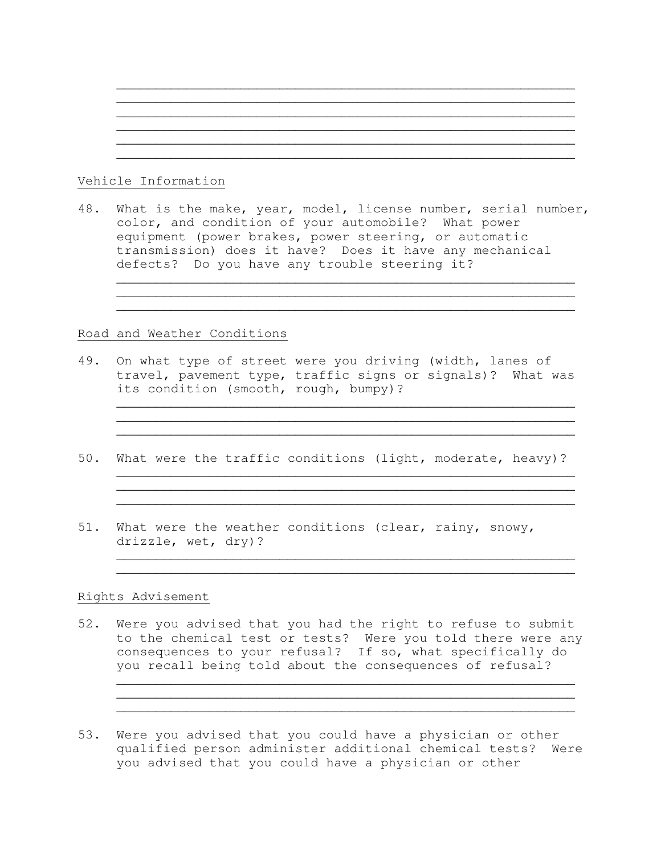# $\overline{\phantom{a}}$  , and the contribution of the contribution of the contribution of the contribution of the contribution of  $\overline{\phantom{a}}$  $\overline{\phantom{a}}$  , and the contract of the contract of the contract of the contract of the contract of the contract of the contract of the contract of the contract of the contract of the contract of the contract of the contrac  $\overline{\phantom{a}}$  , and the contribution of the contribution of the contribution of the contribution of the contribution of  $\overline{\phantom{a}}$

 $\overline{\phantom{a}}$  , and the contribution of the contribution of the contribution of the contribution of the contribution of  $\overline{\phantom{a}}$ 

# Vehicle Information

48. What is the make, year, model, license number, serial number, color, and condition of your automobile? What power equipment (power brakes, power steering, or automatic transmission) does it have? Does it have any mechanical defects? Do you have any trouble steering it?

 $\overline{\phantom{a}}$  , and the contribution of the contribution of the contribution of the contribution of the contribution of  $\overline{\phantom{a}}$  $\overline{\phantom{a}}$  , and the contract of the contract of the contract of the contract of the contract of the contract of the contract of the contract of the contract of the contract of the contract of the contract of the contrac  $\overline{\phantom{a}}$  , and the contract of the contract of the contract of the contract of the contract of the contract of the contract of the contract of the contract of the contract of the contract of the contract of the contrac

 $\overline{\phantom{a}}$  , and the contract of the contract of the contract of the contract of the contract of the contract of the contract of the contract of the contract of the contract of the contract of the contract of the contrac

 $\overline{\phantom{a}}$  , and the contribution of the contribution of the contribution of the contribution of the contribution of  $\overline{\phantom{a}}$ 

 $\overline{\phantom{a}}$  , and the contract of the contract of the contract of the contract of the contract of the contract of the contract of the contract of the contract of the contract of the contract of the contract of the contrac  $\overline{\phantom{a}}$  , and the contribution of the contribution of the contribution of the contribution of the contribution of  $\overline{\phantom{a}}$  $\overline{\phantom{a}}$  , and the contribution of the contribution of the contribution of the contribution of the contribution of  $\overline{\phantom{a}}$ 

 $\overline{\phantom{a}}$  , and the contribution of the contribution of the contribution of the contribution of the contribution of  $\overline{\phantom{a}}$  $\overline{\phantom{a}}$  , and the contribution of the contribution of the contribution of the contribution of the contribution of  $\overline{\phantom{a}}$ 

 $\overline{\phantom{a}}$  , and the contribution of the contribution of the contribution of the contribution of the contribution of  $\overline{\phantom{a}}$ \_\_\_\_\_\_\_\_\_\_\_\_\_\_\_\_\_\_\_\_\_\_\_\_\_\_\_\_\_\_\_\_\_\_\_\_\_\_\_\_\_\_\_\_\_\_\_\_\_\_\_\_\_\_\_\_\_\_\_  $\overline{\phantom{a}}$  , and the contract of the contract of the contract of the contract of the contract of the contract of the contract of the contract of the contract of the contract of the contract of the contract of the contrac

# Road and Weather Conditions

- 49. On what type of street were you driving (width, lanes of travel, pavement type, traffic signs or signals)? What was its condition (smooth, rough, bumpy)?
- 50. What were the traffic conditions (light, moderate, heavy)?
- 51. What were the weather conditions (clear, rainy, snowy, drizzle, wet, dry)?

# Rights Advisement

- 52. Were you advised that you had the right to refuse to submit to the chemical test or tests? Were you told there were any consequences to your refusal? If so, what specifically do you recall being told about the consequences of refusal?
- 53. Were you advised that you could have a physician or other qualified person administer additional chemical tests? Were you advised that you could have a physician or other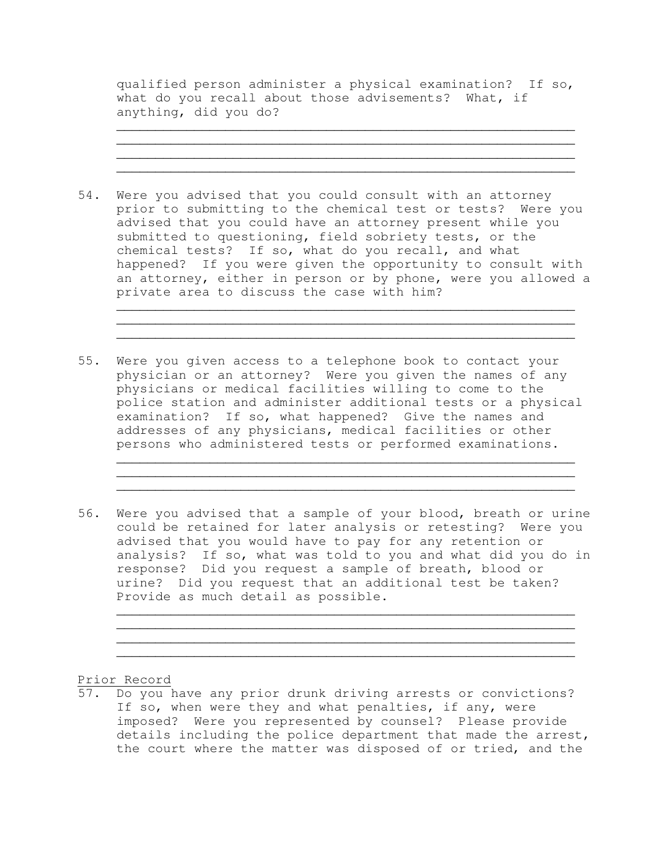qualified person administer a physical examination? If so, what do you recall about those advisements? What, if anything, did you do?

 $\overline{\phantom{a}}$  , and the contract of the contract of the contract of the contract of the contract of the contract of the contract of the contract of the contract of the contract of the contract of the contract of the contrac  $\overline{\phantom{a}}$  , and the contribution of the contribution of the contribution of the contribution of the contribution of  $\overline{\phantom{a}}$ 

 $\overline{\phantom{a}}$  , and the contribution of the contribution of the contribution of the contribution of the contribution of  $\overline{\phantom{a}}$ 

54. Were you advised that you could consult with an attorney prior to submitting to the chemical test or tests? Were you advised that you could have an attorney present while you submitted to questioning, field sobriety tests, or the chemical tests? If so, what do you recall, and what happened? If you were given the opportunity to consult with an attorney, either in person or by phone, were you allowed a private area to discuss the case with him?  $\overline{\phantom{a}}$  , and the contract of the contract of the contract of the contract of the contract of the contract of the contract of the contract of the contract of the contract of the contract of the contract of the contrac

 $\mathcal{L}_\mathcal{L}$  , and the set of the set of the set of the set of the set of the set of the set of the set of the set of the set of the set of the set of the set of the set of the set of the set of the set of the set of th  $\overline{\phantom{a}}$  , and the contribution of the contribution of the contribution of the contribution of the contribution of  $\overline{\phantom{a}}$ 

- 55. Were you given access to a telephone book to contact your physician or an attorney? Were you given the names of any physicians or medical facilities willing to come to the police station and administer additional tests or a physical examination? If so, what happened? Give the names and addresses of any physicians, medical facilities or other persons who administered tests or performed examinations.
- 56. Were you advised that a sample of your blood, breath or urine could be retained for later analysis or retesting? Were you advised that you would have to pay for any retention or analysis? If so, what was told to you and what did you do in response? Did you request a sample of breath, blood or urine? Did you request that an additional test be taken? Provide as much detail as possible.

 $\overline{\phantom{a}}$  , and the contribution of the contribution of the contribution of the contribution of the contribution of  $\overline{\phantom{a}}$ 

 $\overline{\phantom{a}}$  , and the contribution of the contribution of the contribution of the contribution of the contribution of  $\overline{\phantom{a}}$  $\overline{\phantom{a}}$  , and the contribution of the contribution of the contribution of the contribution of the contribution of  $\overline{\phantom{a}}$  $\overline{\phantom{a}}$  , and the contract of the contract of the contract of the contract of the contract of the contract of the contract of the contract of the contract of the contract of the contract of the contract of the contrac  $\overline{\phantom{a}}$  , and the contract of the contract of the contract of the contract of the contract of the contract of the contract of the contract of the contract of the contract of the contract of the contract of the contrac

Prior Record

57. Do you have any prior drunk driving arrests or convictions? If so, when were they and what penalties, if any, were imposed? Were you represented by counsel? Please provide details including the police department that made the arrest, the court where the matter was disposed of or tried, and the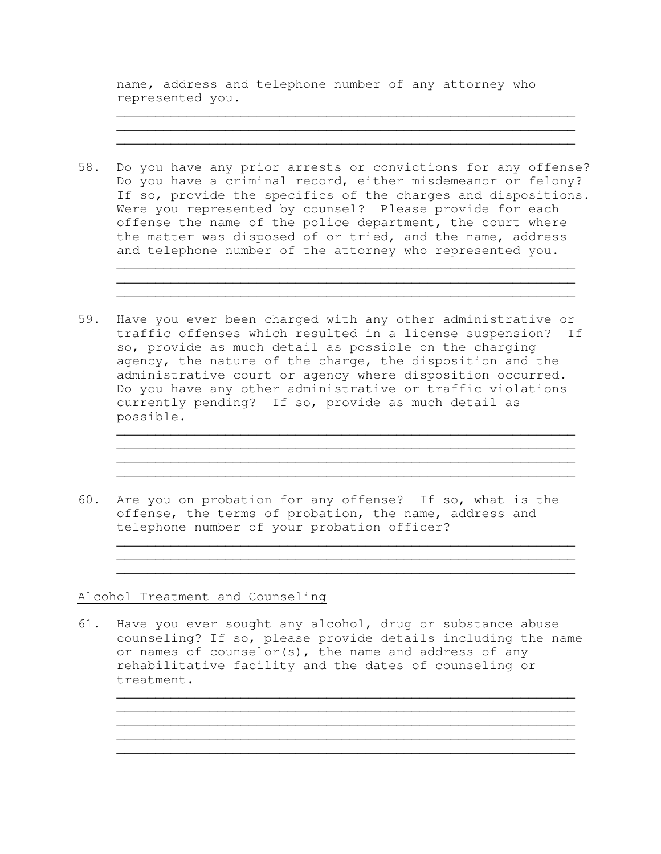name, address and telephone number of any attorney who represented you.

\_\_\_\_\_\_\_\_\_\_\_\_\_\_\_\_\_\_\_\_\_\_\_\_\_\_\_\_\_\_\_\_\_\_\_\_\_\_\_\_\_\_\_\_\_\_\_\_\_\_\_\_\_\_\_\_\_\_\_  $\overline{\phantom{a}}$  , and the contract of the contract of the contract of the contract of the contract of the contract of the contract of the contract of the contract of the contract of the contract of the contract of the contrac  $\overline{\phantom{a}}$  , and the contribution of the contribution of the contribution of the contribution of the contribution of  $\overline{\phantom{a}}$ 

58. Do you have any prior arrests or convictions for any offense? Do you have a criminal record, either misdemeanor or felony? If so, provide the specifics of the charges and dispositions. Were you represented by counsel? Please provide for each offense the name of the police department, the court where the matter was disposed of or tried, and the name, address and telephone number of the attorney who represented you.

 $\overline{\phantom{a}}$  , and the contribution of the contribution of the contribution of the contribution of the contribution of  $\overline{\phantom{a}}$ 

 $\overline{\phantom{a}}$  , and the contract of the contract of the contract of the contract of the contract of the contract of the contract of the contract of the contract of the contract of the contract of the contract of the contrac

 $\overline{\phantom{a}}$  , and the contribution of the contribution of the contribution of the contribution of the contribution of  $\overline{\phantom{a}}$  $\overline{\phantom{a}}$  , and the contribution of the contribution of the contribution of the contribution of the contribution of  $\overline{\phantom{a}}$  $\overline{\phantom{a}}$  , and the contract of the contract of the contract of the contract of the contract of the contract of the contract of the contract of the contract of the contract of the contract of the contract of the contrac

 $\overline{\phantom{a}}$  , and the contribution of the contribution of the contribution of the contribution of the contribution of  $\overline{\phantom{a}}$  $\mathcal{L}_\text{max}$  , and the set of the set of the set of the set of the set of the set of the set of the set of the set of the set of the set of the set of the set of the set of the set of the set of the set of the set of the

- 59. Have you ever been charged with any other administrative or traffic offenses which resulted in a license suspension? If so, provide as much detail as possible on the charging agency, the nature of the charge, the disposition and the administrative court or agency where disposition occurred. Do you have any other administrative or traffic violations currently pending? If so, provide as much detail as possible.
- 60. Are you on probation for any offense? If so, what is the offense, the terms of probation, the name, address and telephone number of your probation officer?

Alcohol Treatment and Counseling

61. Have you ever sought any alcohol, drug or substance abuse counseling? If so, please provide details including the name or names of counselor(s), the name and address of any rehabilitative facility and the dates of counseling or treatment.

 $\overline{\phantom{a}}$  , and the contract of the contract of the contract of the contract of the contract of the contract of the contract of the contract of the contract of the contract of the contract of the contract of the contrac  $\overline{\phantom{a}}$  , and the contract of the contract of the contract of the contract of the contract of the contract of the contract of the contract of the contract of the contract of the contract of the contract of the contrac

 $\overline{\phantom{a}}$  , and the contribution of the contribution of the contribution of the contribution of the contribution of  $\overline{\phantom{a}}$  $\overline{\phantom{a}}$  , and the contract of the contract of the contract of the contract of the contract of the contract of the contract of the contract of the contract of the contract of the contract of the contract of the contrac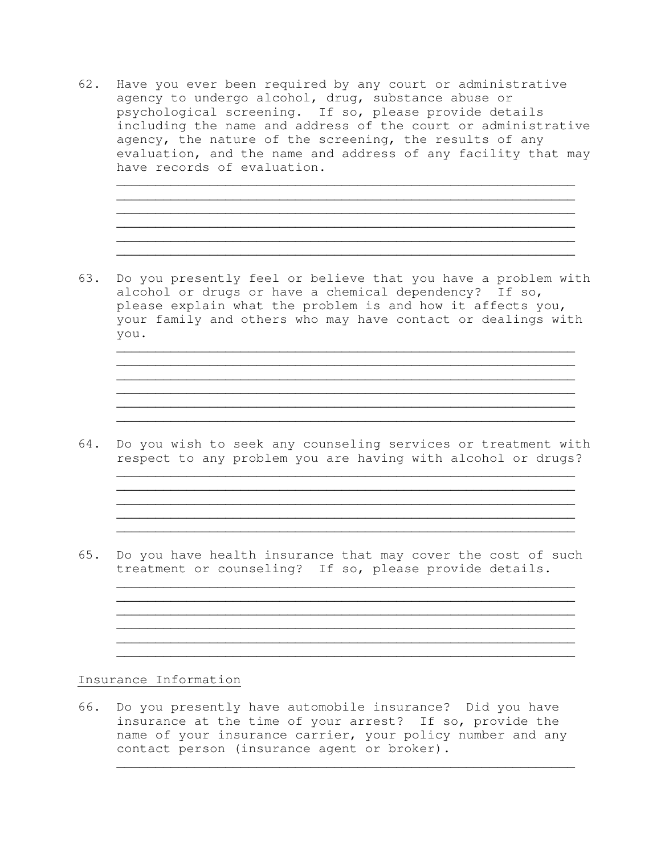62. Have you ever been required by any court or administrative agency to undergo alcohol, drug, substance abuse or psychological screening. If so, please provide details including the name and address of the court or administrative agency, the nature of the screening, the results of any evaluation, and the name and address of any facility that may have records of evaluation.

 $\overline{\phantom{a}}$  , and the contract of the contract of the contract of the contract of the contract of the contract of the contract of the contract of the contract of the contract of the contract of the contract of the contrac  $\overline{\phantom{a}}$  , and the contribution of the contribution of the contribution of the contribution of the contribution of  $\overline{\phantom{a}}$  $\overline{\phantom{a}}$  , and the contribution of the contribution of the contribution of the contribution of the contribution of  $\overline{\phantom{a}}$  $\overline{\phantom{a}}$  , and the contribution of the contribution of the contribution of the contribution of the contribution of  $\overline{\phantom{a}}$  $\overline{\phantom{a}}$  , and the contract of the contract of the contract of the contract of the contract of the contract of the contract of the contract of the contract of the contract of the contract of the contract of the contrac  $\overline{\phantom{a}}$  , and the contract of the contract of the contract of the contract of the contract of the contract of the contract of the contract of the contract of the contract of the contract of the contract of the contrac

63. Do you presently feel or believe that you have a problem with alcohol or drugs or have a chemical dependency? If so, please explain what the problem is and how it affects you, your family and others who may have contact or dealings with you.

 $\overline{\phantom{a}}$  , and the contract of the contract of the contract of the contract of the contract of the contract of the contract of the contract of the contract of the contract of the contract of the contract of the contrac  $\overline{\phantom{a}}$  , and the contract of the contract of the contract of the contract of the contract of the contract of the contract of the contract of the contract of the contract of the contract of the contract of the contrac

 $\overline{\phantom{a}}$  , and the contribution of the contribution of the contribution of the contribution of the contribution of  $\overline{\phantom{a}}$  $\overline{\phantom{a}}$  , and the contract of the contract of the contract of the contract of the contract of the contract of the contract of the contract of the contract of the contract of the contract of the contract of the contrac  $\overline{\phantom{a}}$  , and the contract of the contract of the contract of the contract of the contract of the contract of the contract of the contract of the contract of the contract of the contract of the contract of the contrac

 $\overline{\phantom{a}}$  , and the contract of the contract of the contract of the contract of the contract of the contract of the contract of the contract of the contract of the contract of the contract of the contract of the contrac  $\overline{\phantom{a}}$  , and the contribution of the contribution of the contribution of the contribution of the contribution of  $\overline{\phantom{a}}$  $\overline{\phantom{a}}$  , and the contribution of the contribution of the contribution of the contribution of the contribution of  $\overline{\phantom{a}}$  $\overline{\phantom{a}}$  , and the contribution of the contribution of the contribution of the contribution of the contribution of the contribution of the contribution of the contribution of the contribution of the contribution of the  $\overline{\phantom{a}}$  , and the contract of the contract of the contract of the contract of the contract of the contract of the contract of the contract of the contract of the contract of the contract of the contract of the contrac

 $\overline{\phantom{a}}$  , and the contract of the contract of the contract of the contract of the contract of the contract of the contract of the contract of the contract of the contract of the contract of the contract of the contrac  $\overline{\phantom{a}}$  , and the contract of the contract of the contract of the contract of the contract of the contract of the contract of the contract of the contract of the contract of the contract of the contract of the contrac

 $\overline{\phantom{a}}$  , and the contribution of the contribution of the contribution of the contribution of the contribution of  $\overline{\phantom{a}}$  $\overline{\phantom{a}}$  , and the contract of the contract of the contract of the contract of the contract of the contract of the contract of the contract of the contract of the contract of the contract of the contract of the contrac  $\overline{\phantom{a}}$  , and the contract of the contract of the contract of the contract of the contract of the contract of the contract of the contract of the contract of the contract of the contract of the contract of the contrac

 $\overline{\phantom{a}}$  , and the contract of the contract of the contract of the contract of the contract of the contract of the contract of the contract of the contract of the contract of the contract of the contract of the contrac

- 64. Do you wish to seek any counseling services or treatment with respect to any problem you are having with alcohol or drugs?
- 65. Do you have health insurance that may cover the cost of such treatment or counseling? If so, please provide details.

## Insurance Information

66. Do you presently have automobile insurance? Did you have insurance at the time of your arrest? If so, provide the name of your insurance carrier, your policy number and any contact person (insurance agent or broker).